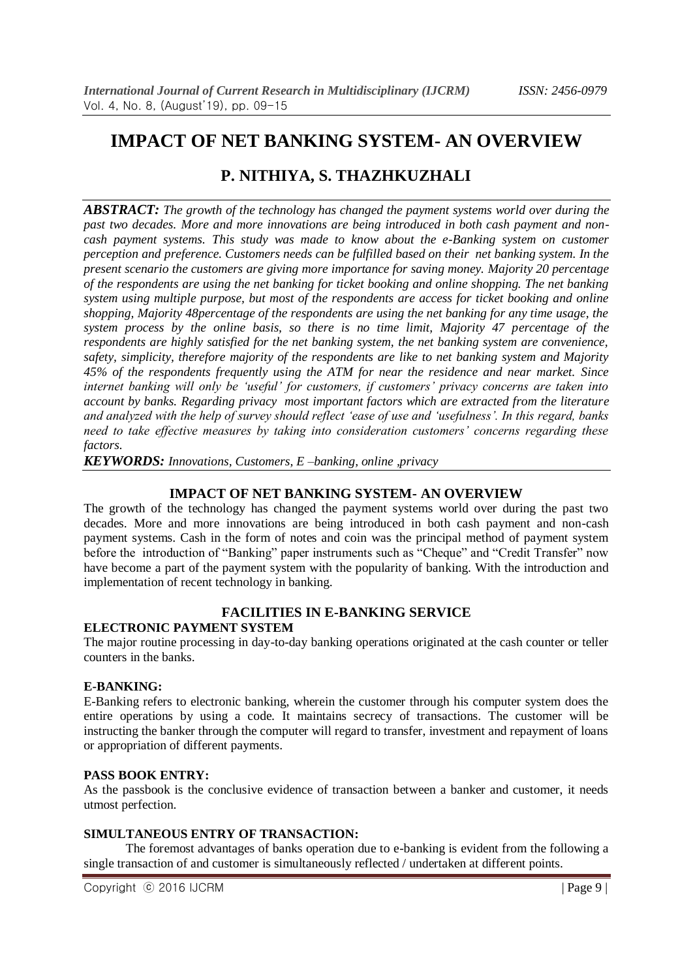# **IMPACT OF NET BANKING SYSTEM- AN OVERVIEW**

## **P. NITHIYA, S. THAZHKUZHALI**

*ABSTRACT: The growth of the technology has changed the payment systems world over during the past two decades. More and more innovations are being introduced in both cash payment and noncash payment systems. This study was made to know about the e-Banking system on customer perception and preference. Customers needs can be fulfilled based on their net banking system. In the present scenario the customers are giving more importance for saving money. Majority 20 percentage of the respondents are using the net banking for ticket booking and online shopping. The net banking system using multiple purpose, but most of the respondents are access for ticket booking and online shopping, Majority 48percentage of the respondents are using the net banking for any time usage, the system process by the online basis, so there is no time limit, Majority 47 percentage of the respondents are highly satisfied for the net banking system, the net banking system are convenience, safety, simplicity, therefore majority of the respondents are like to net banking system and Majority 45% of the respondents frequently using the ATM for near the residence and near market. Since internet banking will only be 'useful' for customers, if customers' privacy concerns are taken into account by banks. Regarding privacy most important factors which are extracted from the literature and analyzed with the help of survey should reflect 'ease of use and 'usefulness'. In this regard, banks need to take effective measures by taking into consideration customers' concerns regarding these factors.*

*KEYWORDS: Innovations, Customers, E –banking, online ,privacy*

### **IMPACT OF NET BANKING SYSTEM- AN OVERVIEW**

The growth of the technology has changed the payment systems world over during the past two decades. More and more innovations are being introduced in both cash payment and non-cash payment systems. Cash in the form of notes and coin was the principal method of payment system before the introduction of "Banking" paper instruments such as "Cheque" and "Credit Transfer" now have become a part of the payment system with the popularity of banking. With the introduction and implementation of recent technology in banking.

### **FACILITIES IN E-BANKING SERVICE**

### **ELECTRONIC PAYMENT SYSTEM**

The major routine processing in day-to-day banking operations originated at the cash counter or teller counters in the banks.

### **E-BANKING:**

E-Banking refers to electronic banking, wherein the customer through his computer system does the entire operations by using a code. It maintains secrecy of transactions. The customer will be instructing the banker through the computer will regard to transfer, investment and repayment of loans or appropriation of different payments.

### **PASS BOOK ENTRY:**

As the passbook is the conclusive evidence of transaction between a banker and customer, it needs utmost perfection.

### **SIMULTANEOUS ENTRY OF TRANSACTION:**

 The foremost advantages of banks operation due to e-banking is evident from the following a single transaction of and customer is simultaneously reflected / undertaken at different points.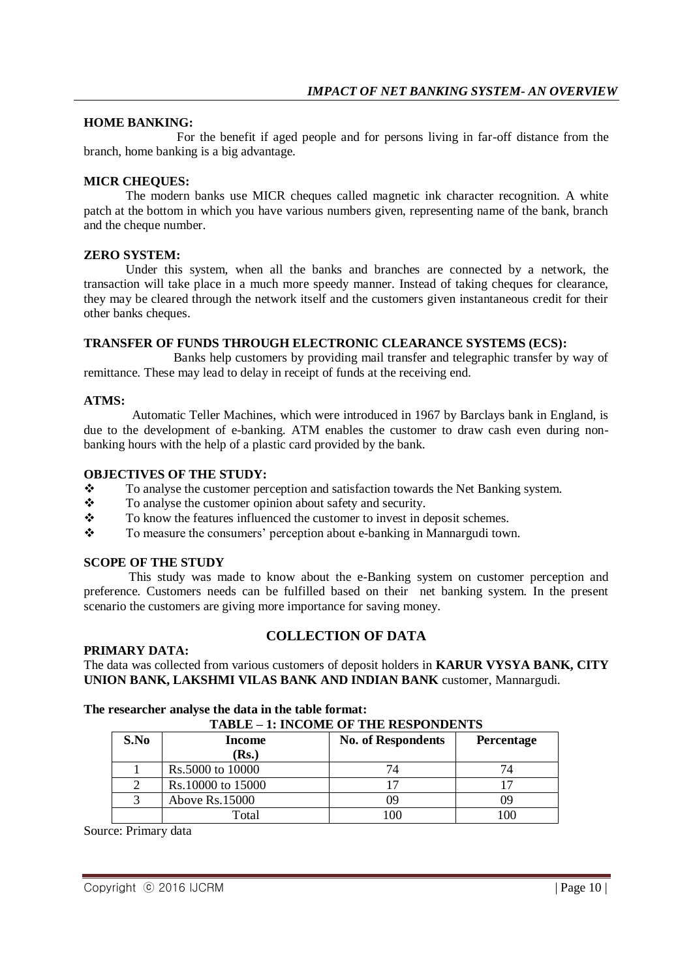### **HOME BANKING:**

 For the benefit if aged people and for persons living in far-off distance from the branch, home banking is a big advantage.

### **MICR CHEQUES:**

 The modern banks use MICR cheques called magnetic ink character recognition. A white patch at the bottom in which you have various numbers given, representing name of the bank, branch and the cheque number.

#### **ZERO SYSTEM:**

 Under this system, when all the banks and branches are connected by a network, the transaction will take place in a much more speedy manner. Instead of taking cheques for clearance, they may be cleared through the network itself and the customers given instantaneous credit for their other banks cheques.

### **TRANSFER OF FUNDS THROUGH ELECTRONIC CLEARANCE SYSTEMS (ECS):**

 Banks help customers by providing mail transfer and telegraphic transfer by way of remittance. These may lead to delay in receipt of funds at the receiving end.

#### **ATMS:**

 Automatic Teller Machines, which were introduced in 1967 by Barclays bank in England, is due to the development of e-banking. ATM enables the customer to draw cash even during nonbanking hours with the help of a plastic card provided by the bank.

#### **OBJECTIVES OF THE STUDY:**

- $\bullet$  To analyse the customer perception and satisfaction towards the Net Banking system.<br> $\bullet$  To analyse the customer opinion about safety and security.
- $\bullet$  To analyse the customer opinion about safety and security.<br>To know the features influenced the customer to invest in d
- To know the features influenced the customer to invest in deposit schemes.
- $\mathbf{\hat{P}}$  To measure the consumers' perception about e-banking in Mannargudi town.

### **SCOPE OF THE STUDY**

 This study was made to know about the e-Banking system on customer perception and preference. Customers needs can be fulfilled based on their net banking system. In the present scenario the customers are giving more importance for saving money.

#### **PRIMARY DATA:**

### **COLLECTION OF DATA**

The data was collected from various customers of deposit holders in **KARUR VYSYA BANK, CITY UNION BANK, LAKSHMI VILAS BANK AND INDIAN BANK** customer, Mannargudi.

#### **The researcher analyse the data in the table format: TABLE – 1: INCOME OF THE RESPONDENTS**

| ,,,,,,,,<br>1. HYCOME OF THE KENTONDENTS |                   |                           |                   |
|------------------------------------------|-------------------|---------------------------|-------------------|
| S.No                                     | Income            | <b>No. of Respondents</b> | <b>Percentage</b> |
|                                          | (Rs.)             |                           |                   |
|                                          | Rs.5000 to 10000  | 74                        |                   |
|                                          | Rs.10000 to 15000 |                           |                   |
|                                          | Above $Rs.15000$  |                           |                   |
|                                          | Total             | 100                       | 100               |

Source: Primary data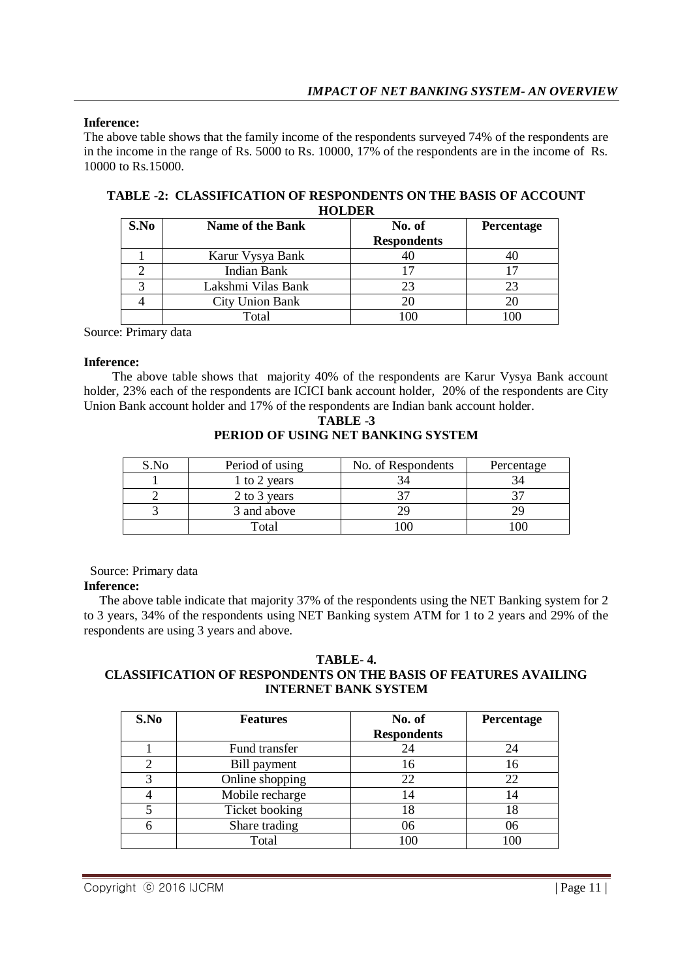### **Inference:**

The above table shows that the family income of the respondents surveyed 74% of the respondents are in the income in the range of Rs. 5000 to Rs. 10000, 17% of the respondents are in the income of Rs. 10000 to Rs.15000.

| --------- |                        |                    |                   |
|-----------|------------------------|--------------------|-------------------|
| S.No      | Name of the Bank       | No. of             | <b>Percentage</b> |
|           |                        | <b>Respondents</b> |                   |
|           | Karur Vysya Bank       |                    |                   |
|           | Indian Bank            |                    |                   |
|           | Lakshmi Vilas Bank     | 23                 |                   |
|           | <b>City Union Bank</b> |                    |                   |
|           | Total                  | 100                |                   |

**TABLE -2: CLASSIFICATION OF RESPONDENTS ON THE BASIS OF ACCOUNT HOLDER**

Source: Primary data

### **Inference:**

 The above table shows that majority 40% of the respondents are Karur Vysya Bank account holder, 23% each of the respondents are ICICI bank account holder, 20% of the respondents are City Union Bank account holder and 17% of the respondents are Indian bank account holder.

**TABLE -3 PERIOD OF USING NET BANKING SYSTEM**

| S.No | Period of using | No. of Respondents | Percentage |
|------|-----------------|--------------------|------------|
|      | 1 to 2 years    |                    |            |
|      | 2 to 3 years    |                    |            |
|      | 3 and above     |                    |            |
|      | Total           |                    |            |

Source: Primary data

### **Inference:**

 The above table indicate that majority 37% of the respondents using the NET Banking system for 2 to 3 years, 34% of the respondents using NET Banking system ATM for 1 to 2 years and 29% of the respondents are using 3 years and above.

#### **TABLE- 4. CLASSIFICATION OF RESPONDENTS ON THE BASIS OF FEATURES AVAILING INTERNET BANK SYSTEM**

| S.No | <b>Features</b> | No. of<br><b>Respondents</b> | Percentage |
|------|-----------------|------------------------------|------------|
|      | Fund transfer   | 24                           | 24         |
|      | Bill payment    | 16                           | 16         |
|      | Online shopping | 22                           | 22         |
|      | Mobile recharge | 14                           | 14         |
|      | Ticket booking  | 18                           | 18         |
|      | Share trading   | 06                           | 06         |
|      | Total           | 100                          | 100        |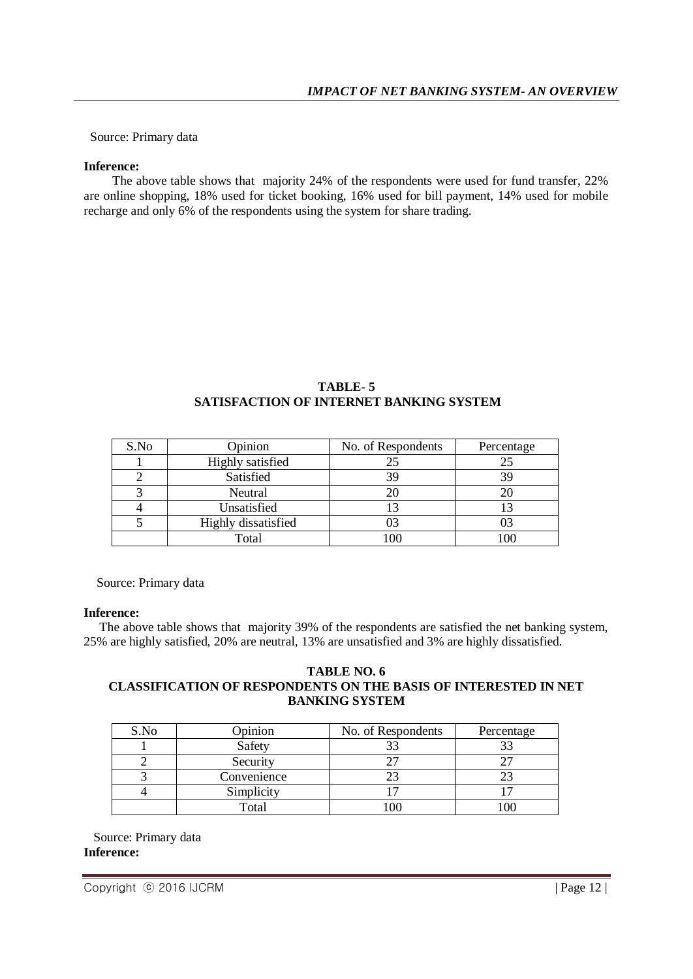Source: Primary data

#### **Inference:**

 The above table shows that majority 24% of the respondents were used for fund transfer, 22% are online shopping, 18% used for ticket booking, 16% used for bill payment, 14% used for mobile recharge and only 6% of the respondents using the system for share trading.

### **TABLE- 5 SATISFACTION OF INTERNET BANKING SYSTEM**

| S.No | Opinion                 | No. of Respondents | Percentage |
|------|-------------------------|--------------------|------------|
|      | <b>Highly</b> satisfied |                    | 25         |
|      | Satisfied               | 39                 | 39         |
|      | Neutral                 |                    |            |
|      | Unsatisfied             |                    |            |
|      | Highly dissatisfied     |                    | 03         |
|      | Total                   |                    | .00        |

Source: Primary data

### **Inference:**

 The above table shows that majority 39% of the respondents are satisfied the net banking system, 25% are highly satisfied, 20% are neutral, 13% are unsatisfied and 3% are highly dissatisfied.

### **TABLE NO. 6 CLASSIFICATION OF RESPONDENTS ON THE BASIS OF INTERESTED IN NET BANKING SYSTEM**

| S.No | Opinion     | No. of Respondents | Percentage |
|------|-------------|--------------------|------------|
|      | Safety      |                    |            |
|      | Security    |                    |            |
|      | Convenience |                    |            |
|      | Simplicity  |                    |            |
|      | Total       |                    |            |

 Source: Primary data **Inference:**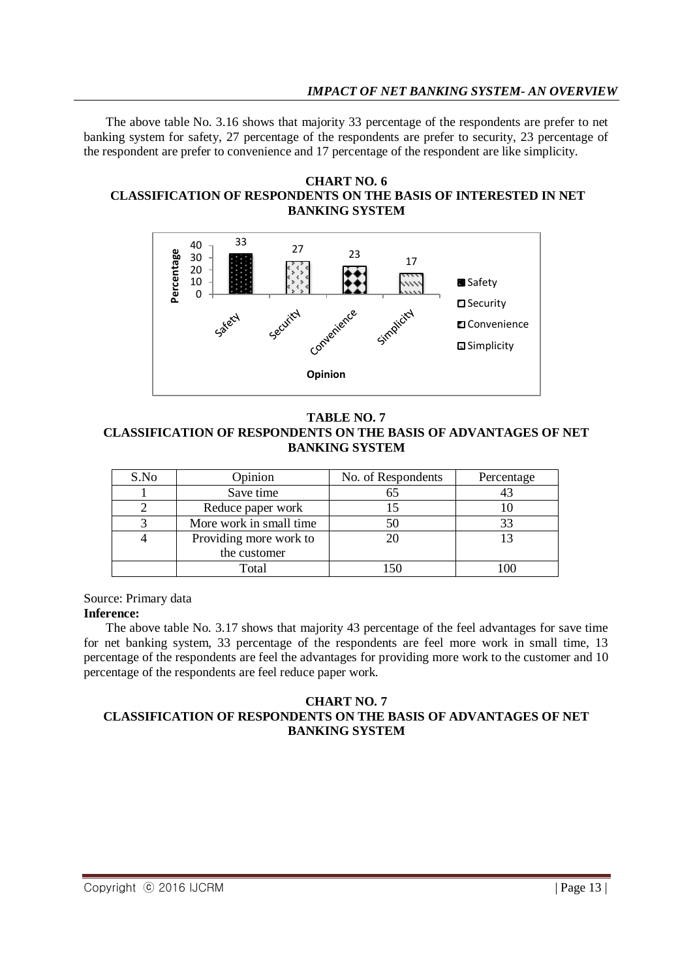The above table No. 3.16 shows that majority 33 percentage of the respondents are prefer to net banking system for safety, 27 percentage of the respondents are prefer to security, 23 percentage of the respondent are prefer to convenience and 17 percentage of the respondent are like simplicity.

#### **CHART NO. 6 CLASSIFICATION OF RESPONDENTS ON THE BASIS OF INTERESTED IN NET BANKING SYSTEM**



### **TABLE NO. 7 CLASSIFICATION OF RESPONDENTS ON THE BASIS OF ADVANTAGES OF NET BANKING SYSTEM**

| S.No | Opinion                 | No. of Respondents | Percentage |
|------|-------------------------|--------------------|------------|
|      | Save time               | 65                 |            |
|      | Reduce paper work       |                    |            |
|      | More work in small time |                    | 33         |
|      | Providing more work to  |                    |            |
|      | the customer            |                    |            |
|      | Total                   |                    |            |

Source: Primary data

### **Inference:**

 The above table No. 3.17 shows that majority 43 percentage of the feel advantages for save time for net banking system, 33 percentage of the respondents are feel more work in small time, 13 percentage of the respondents are feel the advantages for providing more work to the customer and 10 percentage of the respondents are feel reduce paper work.

### **CHART NO. 7 CLASSIFICATION OF RESPONDENTS ON THE BASIS OF ADVANTAGES OF NET BANKING SYSTEM**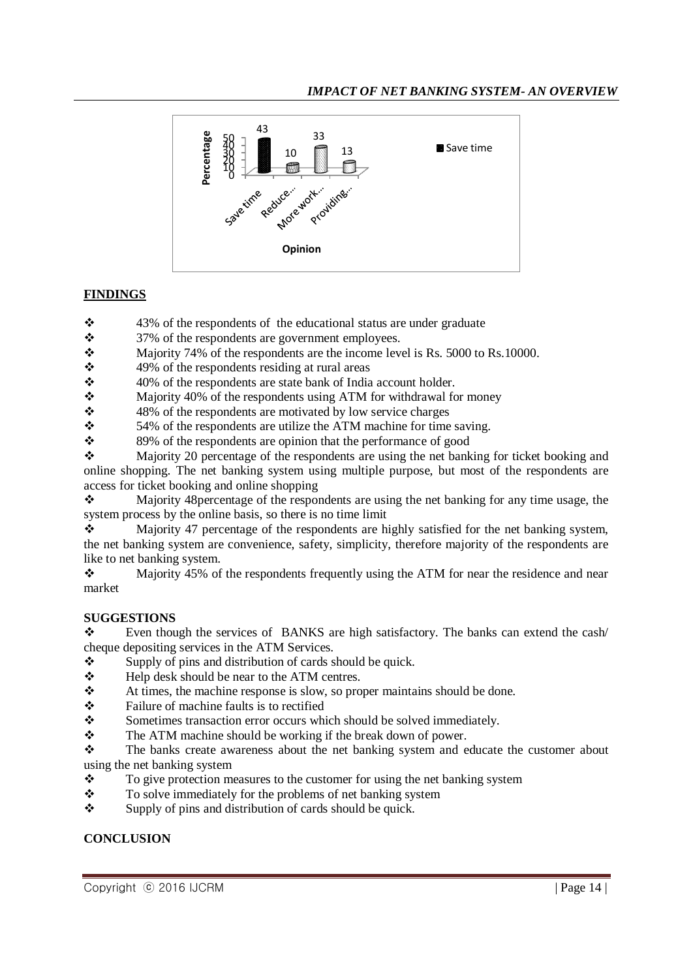

## **FINDINGS**

43% of the respondents of the educational status are under graduate

37% of the respondents are government employees.

Majority 74% of the respondents are the income level is Rs. 5000 to Rs. 10000.

 $\div$  49% of the respondents residing at rural areas

40% of the respondents are state bank of India account holder.

 $\div$  Majority 40% of the respondents using ATM for withdrawal for money

48% of the respondents are motivated by low service charges<br>48% of the respondents are utilize the ATM machine for time

 $\div$  54% of the respondents are utilize the ATM machine for time saving.<br> $\div$  89% of the respondents are opinion that the performance of good

89% of the respondents are opinion that the performance of good

 $\mathbf{\hat{P}}$  Majority 20 percentage of the respondents are using the net banking for ticket booking and online shopping. The net banking system using multiple purpose, but most of the respondents are access for ticket booking and online shopping

 $\mathbf{\hat{P}}$  Majority 48 percentage of the respondents are using the net banking for any time usage, the system process by the online basis, so there is no time limit

 $\bullet$  Majority 47 percentage of the respondents are highly satisfied for the net banking system, the net banking system are convenience, safety, simplicity, therefore majority of the respondents are like to net banking system.

 $\bullet$  Majority 45% of the respondents frequently using the ATM for near the residence and near market

### **SUGGESTIONS**

Even though the services of BANKS are high satisfactory. The banks can extend the cash/ cheque depositing services in the ATM Services.

 $\bullet$  Supply of pins and distribution of cards should be quick.

- Help desk should be near to the ATM centres.
- At times, the machine response is slow, so proper maintains should be done.
- $\mathbf{\hat{P}}$  Failure of machine faults is to rectified
- Sometimes transaction error occurs which should be solved immediately.
- The ATM machine should be working if the break down of power.
- \* The banks create awareness about the net banking system and educate the customer about using the net banking system
- $\mathbf{\hat{P}}$  To give protection measures to the customer for using the net banking system
- $\bullet$  To solve immediately for the problems of net banking system<br>Supply of pins and distribution of cards should be quick.
- Supply of pins and distribution of cards should be quick.

### **CONCLUSION**